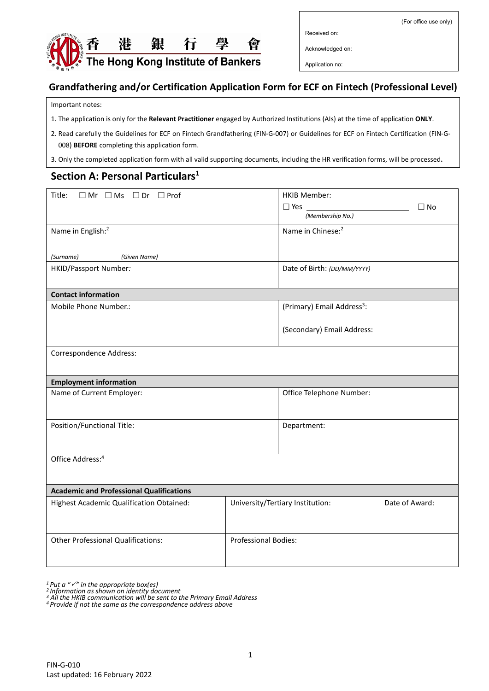(For office use only)



Received on:

Acknowledged on:

Application no:

#### **Grandfathering and/or Certification Application Form for ECF on Fintech (Professional Level)**

#### Important notes:

- 1. The application is only for the **Relevant Practitioner** engaged by Authorized Institutions (AIs) at the time of application **ONLY**.
- 2. Read carefully the Guidelines for ECF on Fintech Grandfathering (FIN-G-007) or Guidelines for ECF on Fintech Certification (FIN-G-008) **BEFORE** completing this application form.
- 3. Only the completed application form with all valid supporting documents, including the HR verification forms, will be processed**.**

## **Section A: Personal Particulars<sup>1</sup>**

| Title:<br>$\Box$ Mr $\Box$ Ms $\Box$ Dr $\Box$ Prof |                             | <b>HKIB Member:</b>                    |                |
|-----------------------------------------------------|-----------------------------|----------------------------------------|----------------|
|                                                     |                             | $\Box$ Yes                             | $\Box$ No      |
|                                                     |                             | (Membership No.)                       |                |
| Name in English: <sup>2</sup>                       |                             | Name in Chinese: <sup>2</sup>          |                |
| (Surname)<br>(Given Name)                           |                             |                                        |                |
| HKID/Passport Number:                               |                             | Date of Birth: (DD/MM/YYYY)            |                |
| <b>Contact information</b>                          |                             |                                        |                |
| Mobile Phone Number.:                               |                             | (Primary) Email Address <sup>3</sup> : |                |
|                                                     |                             | (Secondary) Email Address:             |                |
| Correspondence Address:                             |                             |                                        |                |
| <b>Employment information</b>                       |                             |                                        |                |
| Name of Current Employer:                           |                             | Office Telephone Number:               |                |
| Position/Functional Title:                          |                             | Department:                            |                |
| Office Address: <sup>4</sup>                        |                             |                                        |                |
| <b>Academic and Professional Qualifications</b>     |                             |                                        |                |
| Highest Academic Qualification Obtained:            |                             | University/Tertiary Institution:       | Date of Award: |
| <b>Other Professional Qualifications:</b>           | <b>Professional Bodies:</b> |                                        |                |

*<sup>1</sup>Put a "" in the appropriate box(es)*

*<sup>4</sup>Provide if not the same as the correspondence address above*

*<sup>2</sup>Information as shown on identity document <sup>3</sup> All the HKIB communication will be sent to the Primary Email Address*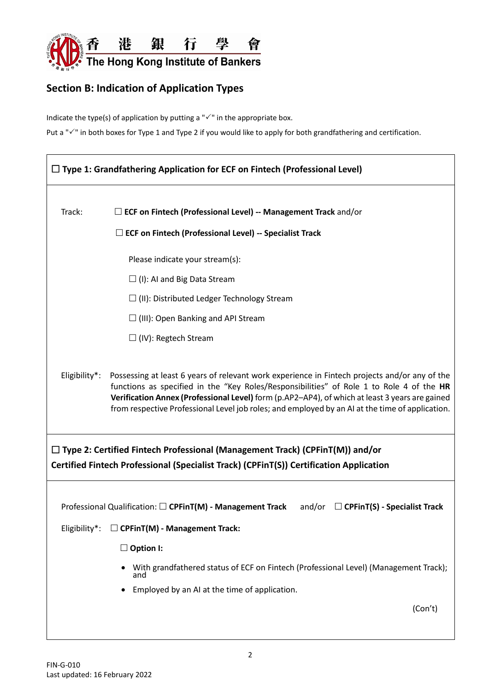

# **Section B: Indication of Application Types**

Indicate the type(s) of application by putting a " $\checkmark$ " in the appropriate box.

Put a " $\checkmark$ " in both boxes for Type 1 and Type 2 if you would like to apply for both grandfathering and certification.

|                                                                                                                                                                                | $\Box$ Type 1: Grandfathering Application for ECF on Fintech (Professional Level)                                                                                                                                                                                                                                                                                                              |  |  |  |
|--------------------------------------------------------------------------------------------------------------------------------------------------------------------------------|------------------------------------------------------------------------------------------------------------------------------------------------------------------------------------------------------------------------------------------------------------------------------------------------------------------------------------------------------------------------------------------------|--|--|--|
| Track:                                                                                                                                                                         | $\Box$ ECF on Fintech (Professional Level) -- Management Track and/or                                                                                                                                                                                                                                                                                                                          |  |  |  |
|                                                                                                                                                                                | $\Box$ ECF on Fintech (Professional Level) -- Specialist Track                                                                                                                                                                                                                                                                                                                                 |  |  |  |
|                                                                                                                                                                                | Please indicate your stream(s):                                                                                                                                                                                                                                                                                                                                                                |  |  |  |
|                                                                                                                                                                                | $\Box$ (I): AI and Big Data Stream                                                                                                                                                                                                                                                                                                                                                             |  |  |  |
|                                                                                                                                                                                | $\Box$ (II): Distributed Ledger Technology Stream                                                                                                                                                                                                                                                                                                                                              |  |  |  |
|                                                                                                                                                                                | $\Box$ (III): Open Banking and API Stream                                                                                                                                                                                                                                                                                                                                                      |  |  |  |
|                                                                                                                                                                                | $\Box$ (IV): Regtech Stream                                                                                                                                                                                                                                                                                                                                                                    |  |  |  |
| Eligibility*:                                                                                                                                                                  | Possessing at least 6 years of relevant work experience in Fintech projects and/or any of the<br>functions as specified in the "Key Roles/Responsibilities" of Role 1 to Role 4 of the HR<br>Verification Annex (Professional Level) form (p.AP2-AP4), of which at least 3 years are gained<br>from respective Professional Level job roles; and employed by an AI at the time of application. |  |  |  |
| $\Box$ Type 2: Certified Fintech Professional (Management Track) (CPFinT(M)) and/or<br>Certified Fintech Professional (Specialist Track) (CPFinT(S)) Certification Application |                                                                                                                                                                                                                                                                                                                                                                                                |  |  |  |
|                                                                                                                                                                                | Professional Qualification: $\square$ CPFinT(M) - Management Track<br>and/or $\Box$ CPFinT(S) - Specialist Track                                                                                                                                                                                                                                                                               |  |  |  |
| Eligibility*:                                                                                                                                                                  | $\Box$ CPFinT(M) - Management Track:                                                                                                                                                                                                                                                                                                                                                           |  |  |  |
|                                                                                                                                                                                |                                                                                                                                                                                                                                                                                                                                                                                                |  |  |  |
|                                                                                                                                                                                | $\Box$ Option I:                                                                                                                                                                                                                                                                                                                                                                               |  |  |  |
|                                                                                                                                                                                | With grandfathered status of ECF on Fintech (Professional Level) (Management Track);<br>and                                                                                                                                                                                                                                                                                                    |  |  |  |
|                                                                                                                                                                                | Employed by an AI at the time of application.                                                                                                                                                                                                                                                                                                                                                  |  |  |  |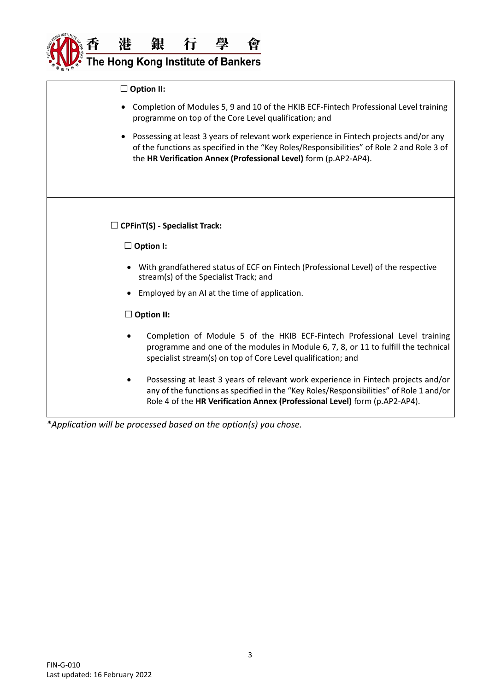

 **Option II:** • Completion of Modules 5, 9 and 10 of the HKIB ECF-Fintech Professional Level training programme on top of the Core Level qualification; and • Possessing at least 3 years of relevant work experience in Fintech projects and/or any of the functions as specified in the "Key Roles/Responsibilities" of Role 2 and Role 3 of the **HR Verification Annex (Professional Level)** form (p.AP2-AP4). **CPFinT(S) - Specialist Track: Option I:** • With grandfathered status of ECF on Fintech (Professional Level) of the respective stream(s) of the Specialist Track; and • Employed by an AI at the time of application. **Option II:** • Completion of Module 5 of the HKIB ECF-Fintech Professional Level training programme and one of the modules in Module 6, 7, 8, or 11 to fulfill the technical specialist stream(s) on top of Core Level qualification; and • Possessing at least 3 years of relevant work experience in Fintech projects and/or any of the functions as specified in the "Key Roles/Responsibilities" of Role 1 and/or

Role 4 of the **HR Verification Annex (Professional Level)** form (p.AP2-AP4).

*\*Application will be processed based on the option(s) you chose.*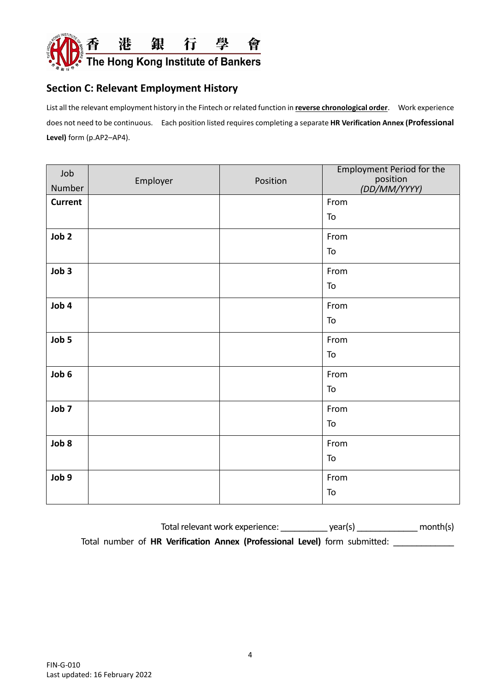

## **Section C: Relevant Employment History**

List all the relevant employment history in the Fintech or related function in **reverse chronological order**. Work experience does not need to be continuous. Each position listed requires completing a separate **HR Verification Annex (Professional Level)** form (p.AP2–AP4).

| Job              |          |          | <b>Employment Period for the</b> |
|------------------|----------|----------|----------------------------------|
| Number           | Employer | Position | position<br>(DD/MM/YYYY)         |
| <b>Current</b>   |          |          | From                             |
|                  |          |          | To                               |
| Job <sub>2</sub> |          |          | From                             |
|                  |          |          | To                               |
| Job 3            |          |          | From                             |
|                  |          |          | To                               |
| Job 4            |          |          | From                             |
|                  |          |          | To                               |
| Job 5            |          |          | From                             |
|                  |          |          | To                               |
| Job 6            |          |          | From                             |
|                  |          |          | To                               |
| Job 7            |          |          | From                             |
|                  |          |          | To                               |
| Job 8            |          |          | From                             |
|                  |          |          | To                               |
| Job 9            |          |          | From                             |
|                  |          |          | To                               |

Total relevant work experience:  $year(s)$  month(s)

Total number of HR Verification Annex (Professional Level) form submitted: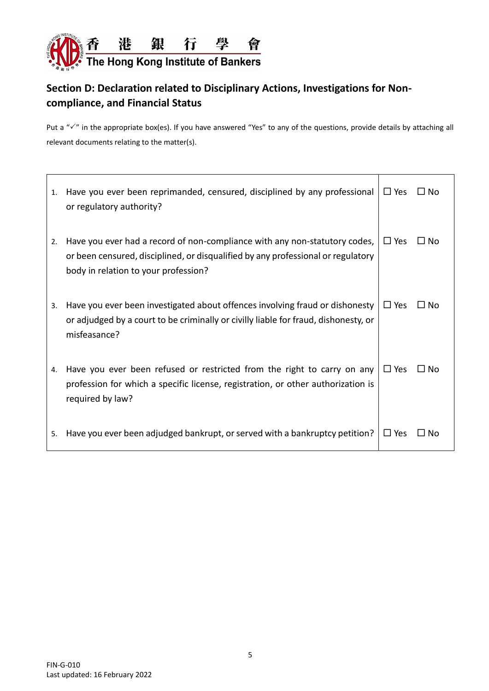

## **Section D: Declaration related to Disciplinary Actions, Investigations for Noncompliance, and Financial Status**

Put a " $\checkmark$ " in the appropriate box(es). If you have answered "Yes" to any of the questions, provide details by attaching all relevant documents relating to the matter(s).

| 1. | Have you ever been reprimanded, censured, disciplined by any professional<br>or regulatory authority?                                                                                                  | $\Box$ Yes | $\Box$ No    |
|----|--------------------------------------------------------------------------------------------------------------------------------------------------------------------------------------------------------|------------|--------------|
| 2. | Have you ever had a record of non-compliance with any non-statutory codes,<br>or been censured, disciplined, or disqualified by any professional or regulatory<br>body in relation to your profession? | $\Box$ Yes | $\Box$ No    |
| 3. | Have you ever been investigated about offences involving fraud or dishonesty<br>or adjudged by a court to be criminally or civilly liable for fraud, dishonesty, or<br>misfeasance?                    | $\Box$ Yes | □ No         |
| 4. | Have you ever been refused or restricted from the right to carry on any<br>profession for which a specific license, registration, or other authorization is<br>required by law?                        | $\Box$ Yes | ∩ No         |
| 5. | Have you ever been adjudged bankrupt, or served with a bankruptcy petition?                                                                                                                            | $\Box$ Yes | $\square$ No |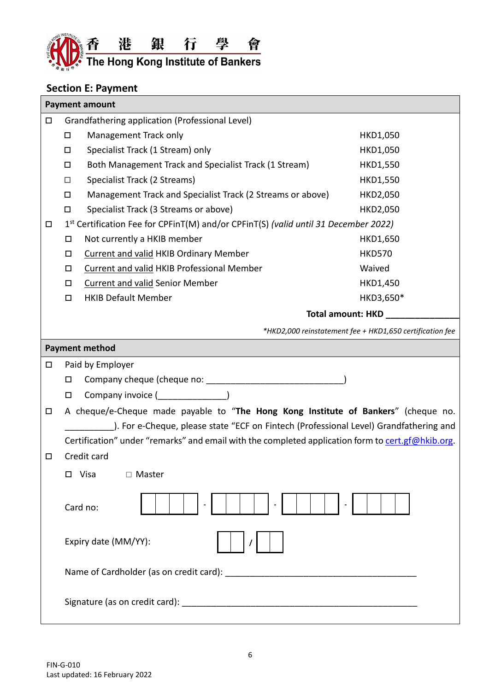

# **Section E: Payment**

|        | <b>Payment amount</b>                                                                             |                                                          |  |  |  |
|--------|---------------------------------------------------------------------------------------------------|----------------------------------------------------------|--|--|--|
| $\Box$ | Grandfathering application (Professional Level)                                                   |                                                          |  |  |  |
|        | Management Track only<br>□                                                                        | HKD1,050                                                 |  |  |  |
|        | Specialist Track (1 Stream) only<br>□                                                             | HKD1,050                                                 |  |  |  |
|        | Both Management Track and Specialist Track (1 Stream)<br>$\Box$                                   | HKD1,550                                                 |  |  |  |
|        | Specialist Track (2 Streams)<br>□                                                                 | <b>HKD1,550</b>                                          |  |  |  |
|        | Management Track and Specialist Track (2 Streams or above)<br>$\Box$                              | HKD2,050                                                 |  |  |  |
|        | Specialist Track (3 Streams or above)<br>□                                                        | HKD2,050                                                 |  |  |  |
| $\Box$ | 1st Certification Fee for CPFinT(M) and/or CPFinT(S) (valid until 31 December 2022)               |                                                          |  |  |  |
|        | Not currently a HKIB member<br>□                                                                  | HKD1,650                                                 |  |  |  |
|        | <b>Current and valid HKIB Ordinary Member</b><br>□                                                | <b>HKD570</b>                                            |  |  |  |
|        | Current and valid HKIB Professional Member<br>□                                                   | Waived                                                   |  |  |  |
|        | <b>Current and valid Senior Member</b><br>$\Box$                                                  | HKD1,450                                                 |  |  |  |
|        | <b>HKIB Default Member</b><br>$\Box$                                                              | HKD3,650*                                                |  |  |  |
|        | <b>Total amount: HKD</b>                                                                          |                                                          |  |  |  |
|        |                                                                                                   | *HKD2,000 reinstatement fee + HKD1,650 certification fee |  |  |  |
|        | <b>Payment method</b>                                                                             |                                                          |  |  |  |
| $\Box$ | Paid by Employer                                                                                  |                                                          |  |  |  |
|        | $\Box$                                                                                            |                                                          |  |  |  |
|        | Company invoice ( <u>Letteral</u> )<br>$\Box$                                                     |                                                          |  |  |  |
| $\Box$ | A cheque/e-Cheque made payable to "The Hong Kong Institute of Bankers" (cheque no.                |                                                          |  |  |  |
|        | ). For e-Cheque, please state "ECF on Fintech (Professional Level) Grandfathering and             |                                                          |  |  |  |
|        | Certification" under "remarks" and email with the completed application form to cert.gf@hkib.org. |                                                          |  |  |  |
| □      | Credit card                                                                                       |                                                          |  |  |  |
|        | □ Visa<br>$\Box$ Master                                                                           |                                                          |  |  |  |
|        |                                                                                                   |                                                          |  |  |  |
|        | Card no:                                                                                          |                                                          |  |  |  |
|        | Expiry date (MM/YY):                                                                              |                                                          |  |  |  |
|        |                                                                                                   |                                                          |  |  |  |
|        |                                                                                                   |                                                          |  |  |  |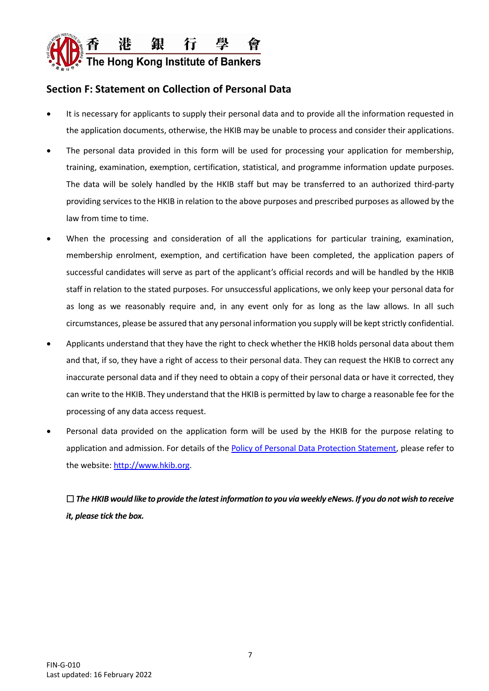

### **Section F: Statement on Collection of Personal Data**

- It is necessary for applicants to supply their personal data and to provide all the information requested in the application documents, otherwise, the HKIB may be unable to process and consider their applications.
- The personal data provided in this form will be used for processing your application for membership, training, examination, exemption, certification, statistical, and programme information update purposes. The data will be solely handled by the HKIB staff but may be transferred to an authorized third-party providing services to the HKIB in relation to the above purposes and prescribed purposes as allowed by the law from time to time.
- When the processing and consideration of all the applications for particular training, examination, membership enrolment, exemption, and certification have been completed, the application papers of successful candidates will serve as part of the applicant's official records and will be handled by the HKIB staff in relation to the stated purposes. For unsuccessful applications, we only keep your personal data for as long as we reasonably require and, in any event only for as long as the law allows. In all such circumstances, please be assured that any personal information you supply will be kept strictly confidential.
- Applicants understand that they have the right to check whether the HKIB holds personal data about them and that, if so, they have a right of access to their personal data. They can request the HKIB to correct any inaccurate personal data and if they need to obtain a copy of their personal data or have it corrected, they can write to the HKIB. They understand that the HKIB is permitted by law to charge a reasonable fee for the processing of any data access request.
- Personal data provided on the application form will be used by the HKIB for the purpose relating to application and admission. For details of th[e Policy of Personal Data Protection Statement,](http://www.hkib.org/Content/en/materials/download/download_en20170412143347307.pdf) please refer to the website[: http://www.hkib.org.](http://www.hkib.org/)

 *The HKIB would like to provide the latest information to you via weekly eNews. If you do not wish to receive it, please tick the box.*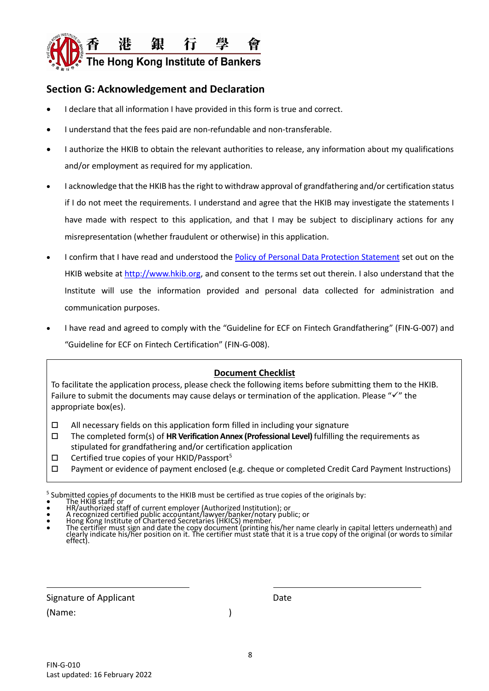

### **Section G: Acknowledgement and Declaration**

- I declare that all information I have provided in this form is true and correct.
- I understand that the fees paid are non-refundable and non-transferable.
- I authorize the HKIB to obtain the relevant authorities to release, any information about my qualifications and/or employment as required for my application.
- I acknowledge that the HKIB has the right to withdraw approval of grandfathering and/or certification status if I do not meet the requirements. I understand and agree that the HKIB may investigate the statements I have made with respect to this application, and that I may be subject to disciplinary actions for any misrepresentation (whether fraudulent or otherwise) in this application.
- I confirm that I have read and understood the [Policy of Personal Data Protection Statement](http://www.hkib.org/Content/en/materials/download/download_en20170412143347307.pdf) set out on the HKIB website at [http://www.hkib.org,](http://www.hkib.org/) and consent to the terms set out therein. I also understand that the Institute will use the information provided and personal data collected for administration and communication purposes.
- I have read and agreed to comply with the ["Guideline for ECF on Fintech](https://www.hkma.gov.hk/media/eng/doc/key-information/guidelines-and-circular/2019/20190329e1.pdf) Grandfathering" (FIN-G-007) and "Guideline for ECF on Fintech Certification" (FIN-G-008).

#### **Document Checklist**

To facilitate the application process, please check the following items before submitting them to the HKIB. Failure to submit the documents may cause delays or termination of the application. Please "✓" the appropriate box(es).

- $\Box$  All necessary fields on this application form filled in including your signature
- The completed form(s) of **HR Verification Annex (Professional Level)** fulfilling the requirements as stipulated for grandfathering and/or certification application
- $\Box$  Certified true copies of your HKID/Passport<sup>5</sup>
- $\Box$  Payment or evidence of payment enclosed (e.g. cheque or completed Credit Card Payment Instructions)

Signature of Applicant Date Date

(Name: )

 $\overline{a}$ 

<sup>&</sup>lt;sup>5</sup> Submitted copies of documents to the HKIB must be certified as true copies of the originals by:<br>• The HKIB staff; or  $\frac{1}{2}$ 

<sup>•</sup> HR/authorized staff of current employer (Authorized Institution); or

<sup>•</sup> A recognized certified public accountant/lawyer/banker/notary public; or • Hong Kong Institute of Chartered Secretaries (HKICS) member.

<sup>•</sup> The certifier must sign and date the copy document (printing his/her name clearly in capital letters underneath) and clearly indicate his/her position on it. The certifier müst state that it is a true copy of the original (or words to similar<br>effect).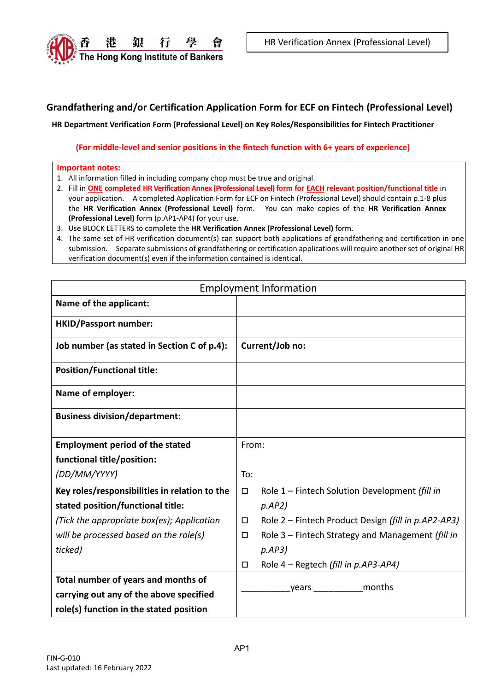

#### **Grandfathering and/or Certification Application Form for ECF on Fintech (Professional Level)**

**HR Department Verification Form (Professional Level) on Key Roles/Responsibilities for Fintech Practitioner**

#### **(For middle-level and senior positions in the fintech function with 6+ years of experience)**

#### **Important notes:**

- 1. All information filled in including company chop must be true and original.
- 2. Fill in **ONE completed HR Verification Annex (Professional Level) form for EACH relevant position/functional title** in your application. A completed Application Form for ECF on Fintech (Professional Level) should contain p.1-8 plus the **HR Verification Annex (Professional Level)** form. You can make copies of the **HR Verification Annex (Professional Level)** form (p.AP1-AP4) for your use.
- 3. Use BLOCK LETTERS to complete the **HR Verification Annex (Professional Level)** form.
- 4. The same set of HR verification document(s) can support both applications of grandfathering and certification in one submission. Separate submissions of grandfathering or certification applications will require another set of original HR verification document(s) even if the information contained is identical.

|                                               | <b>Employment Information</b>                                                                                  |
|-----------------------------------------------|----------------------------------------------------------------------------------------------------------------|
| Name of the applicant:                        |                                                                                                                |
| <b>HKID/Passport number:</b>                  |                                                                                                                |
| Job number (as stated in Section C of p.4):   | Current/Job no:                                                                                                |
| <b>Position/Functional title:</b>             |                                                                                                                |
| Name of employer:                             |                                                                                                                |
| <b>Business division/department:</b>          |                                                                                                                |
| <b>Employment period of the stated</b>        | From:                                                                                                          |
| functional title/position:                    |                                                                                                                |
| (DD/MM/YYYY)                                  | To:                                                                                                            |
| Key roles/responsibilities in relation to the | Role 1 - Fintech Solution Development (fill in<br>$\Box$                                                       |
| stated position/functional title:             | pAP2)                                                                                                          |
| (Tick the appropriate box(es); Application    | Role 2 – Fintech Product Design (fill in p.AP2-AP3)<br>$\Box$                                                  |
| will be processed based on the role(s)        | Role 3 - Fintech Strategy and Management (fill in<br>$\Box$                                                    |
| ticked)                                       | p.AP3)                                                                                                         |
|                                               | Role 4 - Regtech (fill in p.AP3-AP4)<br>□                                                                      |
| Total number of years and months of           | months                                                                                                         |
| carrying out any of the above specified       | years and the search of the search of the search of the search of the search of the search of the search of th |
| role(s) function in the stated position       |                                                                                                                |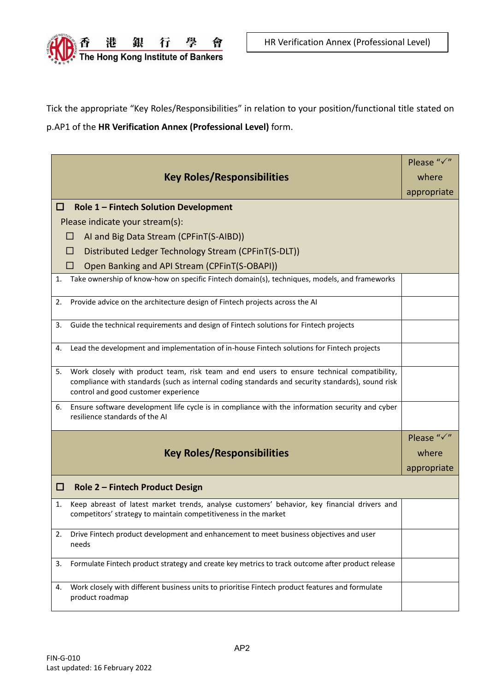

Tick the appropriate "Key Roles/Responsibilities" in relation to your position/functional title stated on p.AP1 of the **HR Verification Annex (Professional Level)** form.

|                                                                                                                                                                                                                                              | Please "√"              |
|----------------------------------------------------------------------------------------------------------------------------------------------------------------------------------------------------------------------------------------------|-------------------------|
| <b>Key Roles/Responsibilities</b>                                                                                                                                                                                                            | where                   |
|                                                                                                                                                                                                                                              | appropriate             |
| □<br>Role 1 - Fintech Solution Development                                                                                                                                                                                                   |                         |
| Please indicate your stream(s):                                                                                                                                                                                                              |                         |
| AI and Big Data Stream (CPFinT(S-AIBD))<br>□                                                                                                                                                                                                 |                         |
| Distributed Ledger Technology Stream (CPFinT(S-DLT))<br>ப                                                                                                                                                                                    |                         |
| Open Banking and API Stream (CPFinT(S-OBAPI))<br>ш                                                                                                                                                                                           |                         |
| Take ownership of know-how on specific Fintech domain(s), techniques, models, and frameworks<br>1.                                                                                                                                           |                         |
| Provide advice on the architecture design of Fintech projects across the AI<br>2.                                                                                                                                                            |                         |
| Guide the technical requirements and design of Fintech solutions for Fintech projects<br>3.                                                                                                                                                  |                         |
| Lead the development and implementation of in-house Fintech solutions for Fintech projects<br>4.                                                                                                                                             |                         |
| Work closely with product team, risk team and end users to ensure technical compatibility,<br>5.<br>compliance with standards (such as internal coding standards and security standards), sound risk<br>control and good customer experience |                         |
| Ensure software development life cycle is in compliance with the information security and cyber<br>6.<br>resilience standards of the AI                                                                                                      |                         |
|                                                                                                                                                                                                                                              | Please " $\checkmark$ " |
| <b>Key Roles/Responsibilities</b>                                                                                                                                                                                                            | where                   |
|                                                                                                                                                                                                                                              | appropriate             |
| □<br>Role 2 - Fintech Product Design                                                                                                                                                                                                         |                         |
| Keep abreast of latest market trends, analyse customers' behavior, key financial drivers and<br>1.<br>competitors' strategy to maintain competitiveness in the market                                                                        |                         |
| Drive Fintech product development and enhancement to meet business objectives and user<br>2.<br>needs                                                                                                                                        |                         |
| Formulate Fintech product strategy and create key metrics to track outcome after product release<br>3.                                                                                                                                       |                         |
| Work closely with different business units to prioritise Fintech product features and formulate<br>4.<br>product roadmap                                                                                                                     |                         |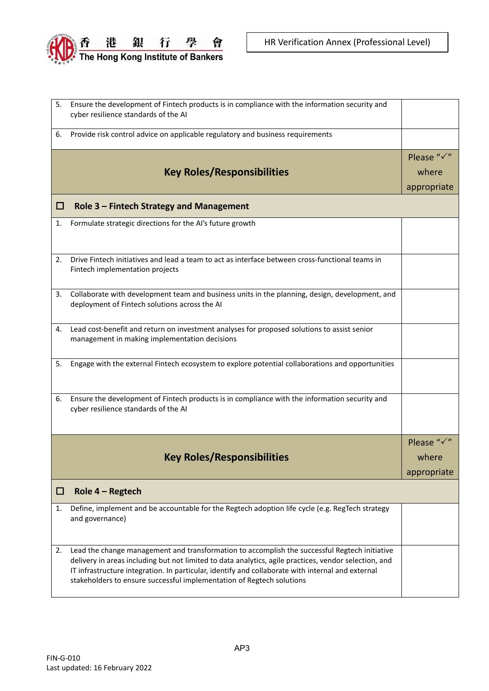

| 5. | Ensure the development of Fintech products is in compliance with the information security and                                                                                                          |             |
|----|--------------------------------------------------------------------------------------------------------------------------------------------------------------------------------------------------------|-------------|
|    | cyber resilience standards of the AI                                                                                                                                                                   |             |
| 6. | Provide risk control advice on applicable regulatory and business requirements                                                                                                                         |             |
|    |                                                                                                                                                                                                        | Please "√"  |
|    | <b>Key Roles/Responsibilities</b>                                                                                                                                                                      | where       |
|    |                                                                                                                                                                                                        | appropriate |
| □  | Role 3 - Fintech Strategy and Management                                                                                                                                                               |             |
| 1. | Formulate strategic directions for the AI's future growth                                                                                                                                              |             |
|    |                                                                                                                                                                                                        |             |
| 2. | Drive Fintech initiatives and lead a team to act as interface between cross-functional teams in                                                                                                        |             |
|    | Fintech implementation projects                                                                                                                                                                        |             |
| 3. | Collaborate with development team and business units in the planning, design, development, and                                                                                                         |             |
|    | deployment of Fintech solutions across the AI                                                                                                                                                          |             |
| 4. | Lead cost-benefit and return on investment analyses for proposed solutions to assist senior                                                                                                            |             |
|    | management in making implementation decisions                                                                                                                                                          |             |
|    |                                                                                                                                                                                                        |             |
| 5. | Engage with the external Fintech ecosystem to explore potential collaborations and opportunities                                                                                                       |             |
|    |                                                                                                                                                                                                        |             |
| 6. | Ensure the development of Fintech products is in compliance with the information security and                                                                                                          |             |
|    | cyber resilience standards of the AI                                                                                                                                                                   |             |
|    |                                                                                                                                                                                                        |             |
|    |                                                                                                                                                                                                        | Please "√"  |
|    | <b>Key Roles/Responsibilities</b>                                                                                                                                                                      | where       |
|    |                                                                                                                                                                                                        | appropriate |
| □  | Role $4 -$ Regtech                                                                                                                                                                                     |             |
| 1. | Define, implement and be accountable for the Regtech adoption life cycle (e.g. RegTech strategy<br>and governance)                                                                                     |             |
|    |                                                                                                                                                                                                        |             |
|    |                                                                                                                                                                                                        |             |
| 2. | Lead the change management and transformation to accomplish the successful Regtech initiative<br>delivery in areas including but not limited to data analytics, agile practices, vendor selection, and |             |
|    | IT infrastructure integration. In particular, identify and collaborate with internal and external                                                                                                      |             |
|    | stakeholders to ensure successful implementation of Regtech solutions                                                                                                                                  |             |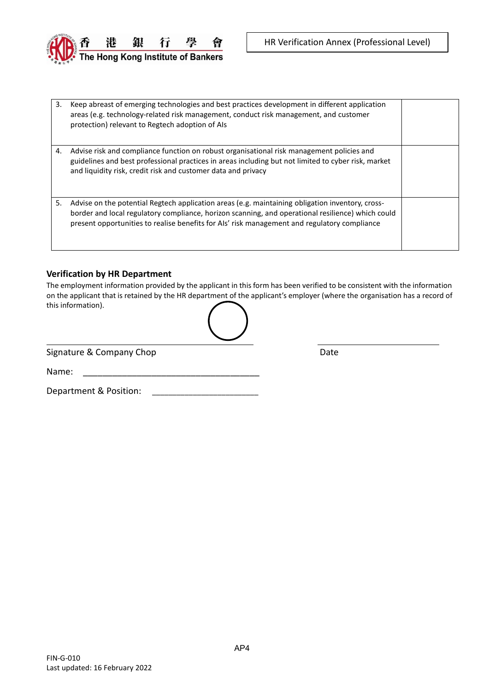

| 3. | Keep abreast of emerging technologies and best practices development in different application<br>areas (e.g. technology-related risk management, conduct risk management, and customer<br>protection) relevant to Regtech adoption of Als                                                             |  |
|----|-------------------------------------------------------------------------------------------------------------------------------------------------------------------------------------------------------------------------------------------------------------------------------------------------------|--|
| 4. | Advise risk and compliance function on robust organisational risk management policies and<br>guidelines and best professional practices in areas including but not limited to cyber risk, market<br>and liquidity risk, credit risk and customer data and privacy                                     |  |
| 5. | Advise on the potential Regtech application areas (e.g. maintaining obligation inventory, cross-<br>border and local regulatory compliance, horizon scanning, and operational resilience) which could<br>present opportunities to realise benefits for AIs' risk management and regulatory compliance |  |

#### **Verification by HR Department**

The employment information provided by the applicant in this form has been verified to be consistent with the information on the applicant that is retained by the HR department of the applicant's employer (where the organisation has a record of this information).

|   | ╲ |
|---|---|
| ヽ |   |

Signature & Company Chop Date Date Date

Name:

 $\overline{a}$ 

Department & Position: